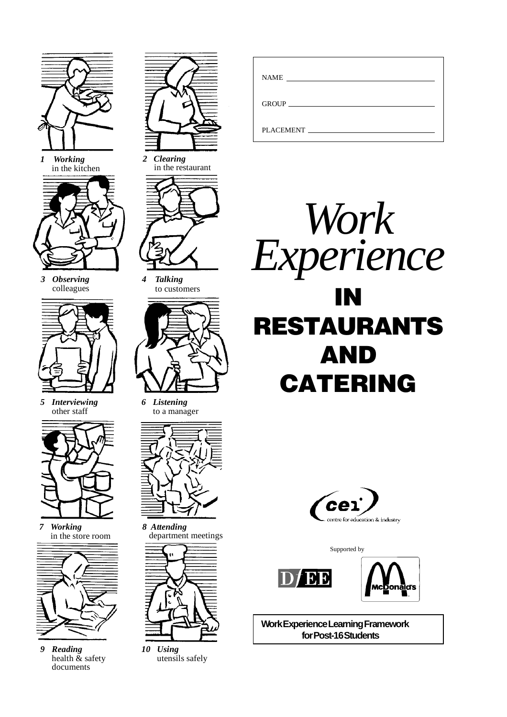



*3 Observing* colleagues



*5 Interviewing* other staff



*7 Working* in the store room



*9 Reading* health  $\&$  safety documents



*2 Clearing* in the restaurant

*4 Talking* to customers



*6 Listening* to a manager



*8 Attending* department meetings



*10 Using* utensils safely

| <b>NAME</b>      |  |
|------------------|--|
|                  |  |
| <b>PLACEMENT</b> |  |





Supported by





**Work Experience Learning Framework for Post-16 Students**